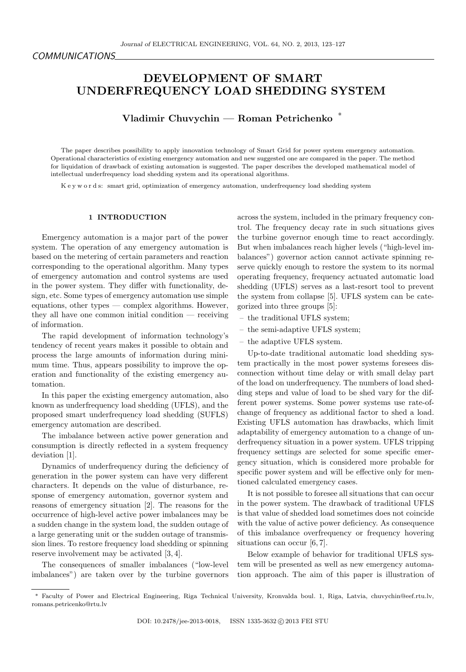# DEVELOPMENT OF SMART UNDERFREQUENCY LOAD SHEDDING SYSTEM

Vladimir Chuvychin — Roman Petrichenko <sup>∗</sup>

The paper describes possibility to apply innovation technology of Smart Grid for power system emergency automation. Operational characteristics of existing emergency automation and new suggested one are compared in the paper. The method for liquidation of drawback of existing automation is suggested. The paper describes the developed mathematical model of intellectual underfrequency load shedding system and its operational algorithms.

K e y w o r d s: smart grid, optimization of emergency automation, underfrequency load shedding system

### 1 INTRODUCTION

Emergency automation is a major part of the power system. The operation of any emergency automation is based on the metering of certain parameters and reaction corresponding to the operational algorithm. Many types of emergency automation and control systems are used in the power system. They differ with functionality, design, etc. Some types of emergency automation use simple equations, other types — complex algorithms. However, they all have one common initial condition — receiving of information.

The rapid development of information technology's tendency of recent years makes it possible to obtain and process the large amounts of information during minimum time. Thus, appears possibility to improve the operation and functionality of the existing emergency automation.

In this paper the existing emergency automation, also known as underfrequency load shedding (UFLS), and the proposed smart underfrequency load shedding (SUFLS) emergency automation are described.

The imbalance between active power generation and consumption is directly reflected in a system frequency deviation [1].

Dynamics of underfrequency during the deficiency of generation in the power system can have very different characters. It depends on the value of disturbance, response of emergency automation, governor system and reasons of emergency situation [2]. The reasons for the occurrence of high-level active power imbalances may be a sudden change in the system load, the sudden outage of a large generating unit or the sudden outage of transmission lines. To restore frequency load shedding or spinning reserve involvement may be activated [3, 4].

The consequences of smaller imbalances ("low-level imbalances") are taken over by the turbine governors across the system, included in the primary frequency control. The frequency decay rate in such situations gives the turbine governor enough time to react accordingly. But when imbalances reach higher levels ("high-level imbalances") governor action cannot activate spinning reserve quickly enough to restore the system to its normal operating frequency, frequency actuated automatic load shedding (UFLS) serves as a last-resort tool to prevent the system from collapse [5]. UFLS system can be categorized into three groups [5]:

- the traditional UFLS system;
- the semi-adaptive UFLS system;
- the adaptive UFLS system.

Up-to-date traditional automatic load shedding system practically in the most power systems foresees disconnection without time delay or with small delay part of the load on underfrequency. The numbers of load shedding steps and value of load to be shed vary for the different power systems. Some power systems use rate-ofchange of frequency as additional factor to shed a load. Existing UFLS automation has drawbacks, which limit adaptability of emergency automation to a change of underfrequency situation in a power system. UFLS tripping frequency settings are selected for some specific emergency situation, which is considered more probable for specific power system and will be effective only for mentioned calculated emergency cases.

It is not possible to foresee all situations that can occur in the power system. The drawback of traditional UFLS is that value of shedded load sometimes does not coincide with the value of active power deficiency. As consequence of this imbalance overfrequency or frequency hovering situations can occur [6, 7].

Below example of behavior for traditional UFLS system will be presented as well as new emergency automation approach. The aim of this paper is illustration of

<sup>∗</sup> Faculty of Power and Electrical Engineering, Riga Technical University, Kronvalda boul. 1, Riga, Latvia, chuvychin@eef.rtu.lv, romans.petricenko@rtu.lv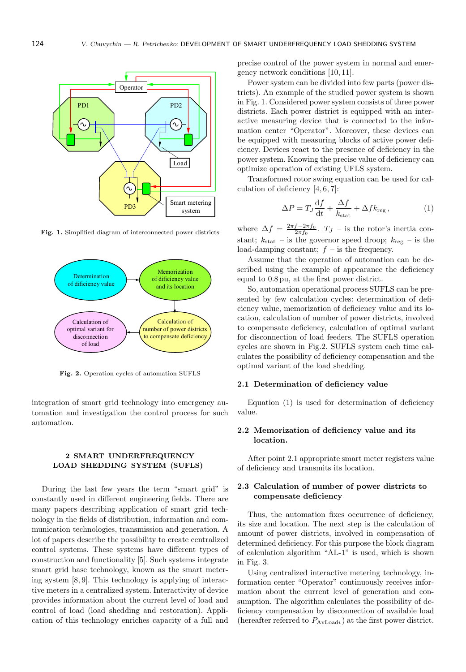

Fig. 1. Simplified diagram of interconnected power districts



Fig. 2. Operation cycles of automation SUFLS

integration of smart grid technology into emergency automation and investigation the control process for such automation.

### 2 SMART UNDERFREQUENCY LOAD SHEDDING SYSTEM (SUFLS)

During the last few years the term "smart grid" is constantly used in different engineering fields. There are many papers describing application of smart grid technology in the fields of distribution, information and communication technologies, transmission and generation. A lot of papers describe the possibility to create centralized control systems. These systems have different types of construction and functionality [5]. Such systems integrate smart grid base technology, known as the smart metering system [8, 9]. This technology is applying of interactive meters in a centralized system. Interactivity of device provides information about the current level of load and control of load (load shedding and restoration). Application of this technology enriches capacity of a full and

precise control of the power system in normal and emergency network conditions [10, 11].

Power system can be divided into few parts (power districts). An example of the studied power system is shown in Fig. 1. Considered power system consists of three power districts. Each power district is equipped with an interactive measuring device that is connected to the information center "Operator". Moreover, these devices can be equipped with measuring blocks of active power deficiency. Devices react to the presence of deficiency in the power system. Knowing the precise value of deficiency can optimize operation of existing UFLS system.

Transformed rotor swing equation can be used for calculation of deficiency [4, 6, 7]:

$$
\Delta P = T_J \frac{\mathrm{d}f}{\mathrm{d}t} + \frac{\Delta f}{k_{\text{stat}}} + \Delta f k_{\text{reg}}\,,\tag{1}
$$

where  $\Delta f = \frac{2\pi f - 2\pi f_0}{2\pi f_0}$ .  $T_J$  – is the rotor's inertia constant;  $k_{\text{stat}}$  – is the governor speed droop;  $k_{\text{reg}}$  – is the load-damping constant;  $f -$  is the frequency.

Assume that the operation of automation can be described using the example of appearance the deficiency equal to 0.8 pu, at the first power district.

So, automation operational process SUFLS can be presented by few calculation cycles: determination of deficiency value, memorization of deficiency value and its location, calculation of number of power districts, involved to compensate deficiency, calculation of optimal variant for disconnection of load feeders. The SUFLS operation cycles are shown in Fig.2. SUFLS system each time calculates the possibility of deficiency compensation and the optimal variant of the load shedding.

#### 2.1 Determination of deficiency value

Equation (1) is used for determination of deficiency value.

### 2.2 Memorization of deficiency value and its location.

After point 2.1 appropriate smart meter registers value of deficiency and transmits its location.

### 2.3 Calculation of number of power districts to compensate deficiency

Thus, the automation fixes occurrence of deficiency, its size and location. The next step is the calculation of amount of power districts, involved in compensation of determined deficiency. For this purpose the block diagram of calculation algorithm "AL-1" is used, which is shown in Fig. 3.

Using centralized interactive metering technology, information center "Operator" continuously receives information about the current level of generation and consumption. The algorithm calculates the possibility of deficiency compensation by disconnection of available load (hereafter referred to  $P_{\text{AvLoad}i}$ ) at the first power district.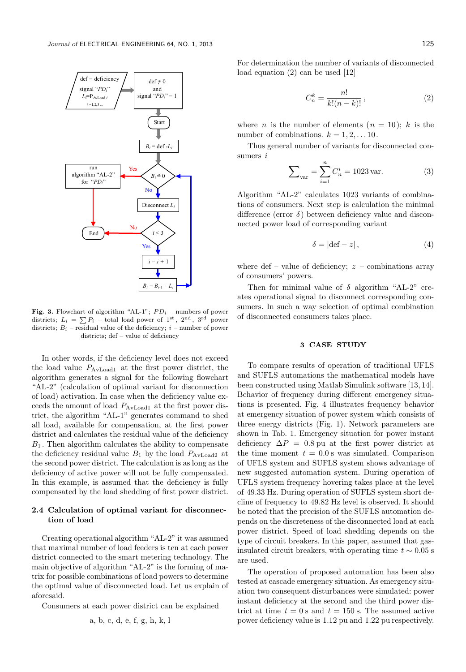

Fig. 3. Flowchart of algorithm "AL-1";  $PD_i$  – numbers of power districts;  $L_i = \sum P_i$  – total load power of 1<sup>st</sup>, 2<sup>nd</sup>, 3<sup>rd</sup> power districts;  $B_i$  – residual value of the deficiency; i – number of power districts; def – value of deficiency

In other words, if the deficiency level does not exceed the load value  $P_{\text{AvLoad1}}$  at the first power district, the algorithm generates a signal for the following flowchart "AL-2" (calculation of optimal variant for disconnection of load) activation. In case when the deficiency value exceeds the amount of load  $P_{\text{AvLoad1}}$  at the first power district, the algorithm "AL-1" generates command to shed all load, available for compensation, at the first power district and calculates the residual value of the deficiency  $B_1$ . Then algorithm calculates the ability to compensate the deficiency residual value  $B_1$  by the load  $P_{\text{AvLoad2}}$  at the second power district. The calculation is as long as the deficiency of active power will not be fully compensated. In this example, is assumed that the deficiency is fully compensated by the load shedding of first power district.

## 2.4 Calculation of optimal variant for disconnection of load

Creating operational algorithm "AL-2" it was assumed that maximal number of load feeders is ten at each power district connected to the smart metering technology. The main objective of algorithm "AL-2" is the forming of matrix for possible combinations of load powers to determine the optimal value of disconnected load. Let us explain of aforesaid.

Consumers at each power district can be explained

$$
a,\,b,\,c,\,d,\,e,\,f,\,g,\,h,\,k,\,l
$$

For determination the number of variants of disconnected load equation (2) can be used [12]

$$
C_n^k = \frac{n!}{k!(n-k)!},\tag{2}
$$

where *n* is the number of elements  $(n = 10)$ ; k is the number of combinations.  $k = 1, 2, \ldots, 10$ .

Thus general number of variants for disconnected consumers i

$$
\sum_{\text{var}} = \sum_{i=1}^{n} C_n^i = 1023 \text{ var.}
$$
 (3)

Algorithm "AL-2" calculates 1023 variants of combinations of consumers. Next step is calculation the minimal difference (error  $\delta$ ) between deficiency value and disconnected power load of corresponding variant

$$
\delta = |\text{def} - z| \,, \tag{4}
$$

where def – value of deficiency;  $z$  – combinations array of consumers' powers.

Then for minimal value of  $\delta$  algorithm "AL-2" creates operational signal to disconnect corresponding consumers. In such a way selection of optimal combination of disconnected consumers takes place.

#### 3 CASE STUDY

To compare results of operation of traditional UFLS and SUFLS automations the mathematical models have been constructed using Matlab Simulink software [13, 14]. Behavior of frequency during different emergency situations is presented. Fig. 4 illustrates frequency behavior at emergency situation of power system which consists of three energy districts (Fig. 1). Network parameters are shown in Tab. 1. Emergency situation for power instant deficiency  $\Delta P = 0.8$  pu at the first power district at the time moment  $t = 0.0$  s was simulated. Comparison of UFLS system and SUFLS system shows advantage of new suggested automation system. During operation of UFLS system frequency hovering takes place at the level of 49.33 Hz. During operation of SUFLS system short decline of frequency to 49.82 Hz level is observed. It should be noted that the precision of the SUFLS automation depends on the discreteness of the disconnected load at each power district. Speed of load shedding depends on the type of circuit breakers. In this paper, assumed that gasinsulated circuit breakers, with operating time  $t \sim 0.05$  s are used.

The operation of proposed automation has been also tested at cascade emergency situation. As emergency situation two consequent disturbances were simulated: power instant deficiency at the second and the third power district at time  $t = 0$  s and  $t = 150$  s. The assumed active power deficiency value is 1.12 pu and 1.22 pu respectively.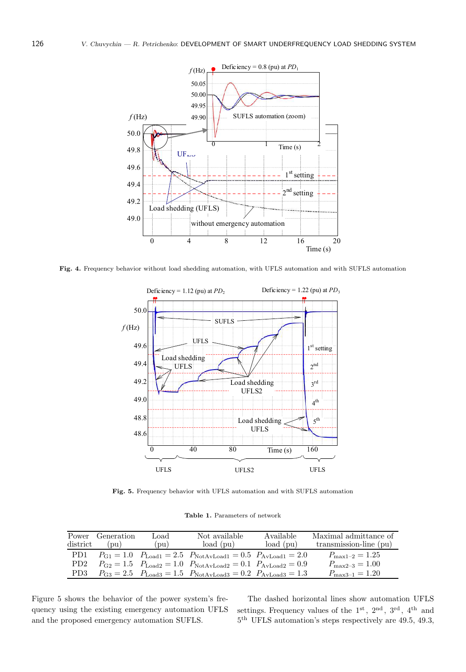

Fig. 4. Frequency behavior without load shedding automation, with UFLS automation and with SUFLS automation



Fig. 5. Frequency behavior with UFLS automation and with SUFLS automation

Table 1. Parameters of network

| Power           | Generation<br>$district$ (pu) | Load<br>$(\text{pu})$ | Not available<br>load(pu)                                                   | Available<br>load(pu) | Maximal admittance of<br>transmission-line (pu) |
|-----------------|-------------------------------|-----------------------|-----------------------------------------------------------------------------|-----------------------|-------------------------------------------------|
| PD <sub>1</sub> |                               |                       | $P_{G1} = 1.0$ $P_{Load1} = 2.5$ $P_{NotAvLoad1} = 0.5$ $P_{AvLoad1} = 2.0$ |                       | $P_{\text{max1-2}} = 1.25$                      |
| PD <sub>2</sub> |                               |                       | $P_{G2} = 1.5$ $P_{Load2} = 1.0$ $P_{NotAvLoad2} = 0.1$ $P_{AvLoad2} = 0.9$ |                       | $P_{\text{max2-3}} = 1.00$                      |
| PD3             |                               |                       | $P_{G3} = 2.5$ $P_{Load3} = 1.5$ $P_{NotAvLoad3} = 0.2$ $P_{AvLoad3} = 1.3$ |                       | $P_{\text{max3-1}} = 1.20$                      |

Figure 5 shows the behavior of the power system's frequency using the existing emergency automation UFLS and the proposed emergency automation SUFLS.

The dashed horizontal lines show automation UFLS settings. Frequency values of the  $1^{\text{st}}$  ,  $2^{\text{nd}}$  ,  $3^{\text{rd}}$  ,  $4^{\text{th}}$  and 5 th UFLS automation's steps respectively are 49.5, 49.3,